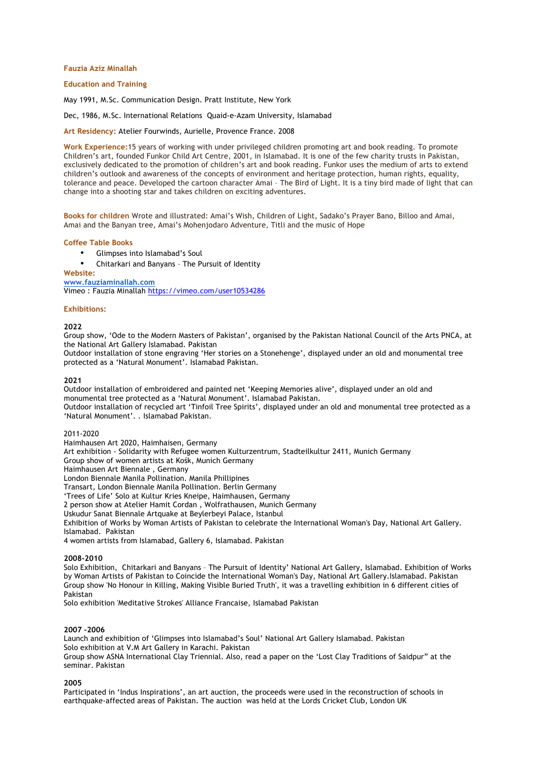### **Fauzia Aziz Minallah**

### **Education and Training**

May 1991, M.Sc. Communication Design. Pratt Institute, New York

Dec, 1986, M.Sc. International Relations Quaid-e-Azam University, Islamabad

**Art Residency:** Atelier Fourwinds, Aurielle, Provence France. 2008

**Work Experience:**15 years of working with under privileged children promoting art and book reading. To promote Children's art, founded Funkor Child Art Centre, 2001, in Islamabad. It is one of the few charity trusts in Pakistan, exclusively dedicated to the promotion of children's art and book reading. Funkor uses the medium of arts to extend children's outlook and awareness of the concepts of environment and heritage protection, human rights, equality, tolerance and peace. Developed the cartoon character Amai – The Bird of Light. It is a tiny bird made of light that can change into a shooting star and takes children on exciting adventures.

**Books for children** Wrote and illustrated: Amai's Wish, Children of Light, Sadako's Prayer Bano, Billoo and Amai, Amai and the Banyan tree, Amai's Mohenjodaro Adventure, Titli and the music of Hope

#### **Coffee Table Books**

- Glimpses into Islamabad's Soul
- Chitarkari and Banyans The Pursuit of Identity

### **Website:**

**www.fauziaminallah.com**

Vimeo : Fauzia Minallah https://vimeo.com/user10534286

#### **Exhibitions:**

#### **2022**

Group show, 'Ode to the Modern Masters of Pakistan', organised by the Pakistan National Council of the Arts PNCA, at the National Art Gallery Islamabad. Pakistan

Outdoor installation of stone engraving 'Her stories on a Stonehenge', displayed under an old and monumental tree protected as a 'Natural Monument'. Islamabad Pakistan.

### **2021**

Outdoor installation of embroidered and painted net 'Keeping Memories alive', displayed under an old and monumental tree protected as a 'Natural Monument'. Islamabad Pakistan. Outdoor installation of recycled art 'Tinfoil Tree Spirits', displayed under an old and monumental tree protected as a 'Natural Monument'. . Islamabad Pakistan.

#### 2011-2020

Haimhausen Art 2020, Haimhaisen, Germany

Art exhibition - Solidarity with Refugee women Kulturzentrum, Stadteilkultur 2411, Munich Germany

Group show of women artists at Kośk, Munich Germany

Haimhausen Art Biennale , Germany

London Biennale Manila Pollination. Manila Phillipines

Transart, London Biennale Manila Pollination. Berlin Germany

'Trees of Life' Solo at Kultur Kries Kneipe, Haimhausen, Germany

2 person show at Atelier Hamit Cordan , Wolfrathausen, Munich Germany

Uskudur Sanat Biennale Artquake at Beylerbeyi Palace, Istanbul

Exhibition of Works by Woman Artists of Pakistan to celebrate the International Woman's Day, National Art Gallery. Islamabad. Pakistan

4 women artists from Islamabad, Gallery 6, Islamabad. Pakistan

#### **2008-2010**

Solo Exhibition, Chitarkari and Banyans – The Pursuit of Identity' National Art Gallery, Islamabad. Exhibition of Works by Woman Artists of Pakistan to Coincide the International Woman's Day, National Art Gallery.Islamabad. Pakistan Group show 'No Honour in Killing, Making Visible Buried Truth', it was a travelling exhibition in 6 different cities of Pakistan

Solo exhibition 'Meditative Strokes' Alliance Francaise, Islamabad Pakistan

### **2007 -2006**

Launch and exhibition of 'Glimpses into Islamabad's Soul' National Art Gallery Islamabad. Pakistan Solo exhibition at V.M Art Gallery in Karachi. Pakistan Group show ASNA International Clay Triennial. Also, read a paper on the 'Lost Clay Traditions of Saidpur" at the

seminar. Pakistan

#### **2005**

Participated in 'Indus Inspirations', an art auction, the proceeds were used in the reconstruction of schools in earthquake-affected areas of Pakistan. The auction was held at the Lords Cricket Club, London UK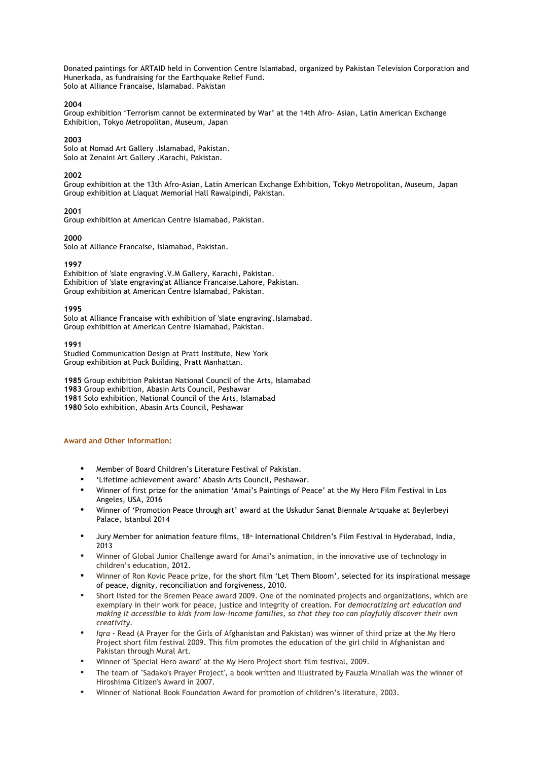Donated paintings for ARTAID held in Convention Centre Islamabad, organized by Pakistan Television Corporation and Hunerkada, as fundraising for the Earthquake Relief Fund. Solo at Alliance Francaise, Islamabad. Pakistan

### **2004**

Group exhibition 'Terrorism cannot be exterminated by War' at the 14th Afro- Asian, Latin American Exchange Exhibition, Tokyo Metropolitan, Museum, Japan

## **2003**

Solo at Nomad Art Gallery .Islamabad, Pakistan. Solo at Zenaini Art Gallery .Karachi, Pakistan.

# **2002**

Group exhibition at the 13th Afro-Asian, Latin American Exchange Exhibition, Tokyo Metropolitan, Museum, Japan Group exhibition at Liaquat Memorial Hall Rawalpindi, Pakistan.

# **2001**

Group exhibition at American Centre Islamabad, Pakistan.

# **2000**

Solo at Alliance Francaise, Islamabad, Pakistan.

# **1997**

Exhibition of 'slate engraving'.V.M Gallery, Karachi, Pakistan. Exhibition of 'slate engraving'at Alliance Francaise.Lahore, Pakistan. Group exhibition at American Centre Islamabad, Pakistan.

# **1995**

Solo at Alliance Francaise with exhibition of 'slate engraving'.Islamabad. Group exhibition at American Centre Islamabad, Pakistan.

# **1991**

Studied Communication Design at Pratt Institute, New York Group exhibition at Puck Building, Pratt Manhattan.

 Group exhibition Pakistan National Council of the Arts, Islamabad Group exhibition, Abasin Arts Council, Peshawar Solo exhibition, National Council of the Arts, Islamabad Solo exhibition, Abasin Arts Council, Peshawar

# **Award and Other Information:**

- Member of Board Children's Literature Festival of Pakistan.
- 'Lifetime achievement award' Abasin Arts Council, Peshawar.
- Winner of first prize for the animation 'Amai's Paintings of Peace' at the My Hero Film Festival in Los Angeles, USA, 2016
- Winner of 'Promotion Peace through art' award at the Uskudur Sanat Biennale Artquake at Beylerbeyi Palace, Istanbul 2014
- Jury Member for animation feature films, 18<sup>th</sup> International Children's Film Festival in Hyderabad, India, 2013
- Winner of Global Junior Challenge award for Amai's animation, in the innovative use of technology in children's education, 2012.
- Winner of Ron Kovic Peace prize, for the short film 'Let Them Bloom', selected for its inspirational message of peace, dignity, reconciliation and forgiveness, 2010.
- Short listed for the Bremen Peace award 2009. One of the nominated projects and organizations, which are exemplary in their work for peace, justice and integrity of creation. For *democratizing art education and making it accessible to kids from low-income families, so that they too can playfully discover their own creativity.*
- *Iqra* Read (A Prayer for the Girls of Afghanistan and Pakistan) was winner of third prize at the My Hero Project short film festival 2009. This film promotes the education of the girl child in Afghanistan and Pakistan through Mural Art.
- Winner of 'Special Hero award' at the My Hero Project short film festival, 2009.
- The team of "Sadako's Prayer Project', a book written and illustrated by Fauzia Minallah was the winner of Hiroshima Citizen's Award in 2007.
- Winner of National Book Foundation Award for promotion of children's literature, 2003.